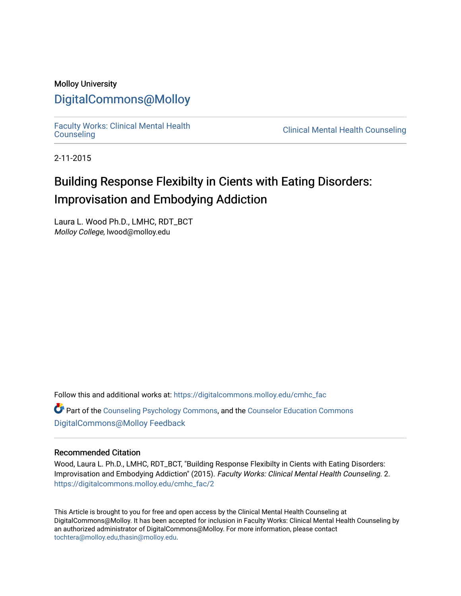### Molloy University [DigitalCommons@Molloy](https://digitalcommons.molloy.edu/)

[Faculty Works: Clinical Mental Health](https://digitalcommons.molloy.edu/cmhc_fac) 

**Clinical Mental Health Counseling** 

2-11-2015

## Building Response Flexibilty in Cients with Eating Disorders: Improvisation and Embodying Addiction

Laura L. Wood Ph.D., LMHC, RDT\_BCT Molloy College, lwood@molloy.edu

Follow this and additional works at: [https://digitalcommons.molloy.edu/cmhc\\_fac](https://digitalcommons.molloy.edu/cmhc_fac?utm_source=digitalcommons.molloy.edu%2Fcmhc_fac%2F2&utm_medium=PDF&utm_campaign=PDFCoverPages) 

Part of the [Counseling Psychology Commons](https://network.bepress.com/hgg/discipline/1044?utm_source=digitalcommons.molloy.edu%2Fcmhc_fac%2F2&utm_medium=PDF&utm_campaign=PDFCoverPages), and the [Counselor Education Commons](https://network.bepress.com/hgg/discipline/1278?utm_source=digitalcommons.molloy.edu%2Fcmhc_fac%2F2&utm_medium=PDF&utm_campaign=PDFCoverPages)  [DigitalCommons@Molloy Feedback](https://molloy.libwizard.com/f/dcfeedback)

#### Recommended Citation

Wood, Laura L. Ph.D., LMHC, RDT\_BCT, "Building Response Flexibilty in Cients with Eating Disorders: Improvisation and Embodying Addiction" (2015). Faculty Works: Clinical Mental Health Counseling. 2. [https://digitalcommons.molloy.edu/cmhc\\_fac/2](https://digitalcommons.molloy.edu/cmhc_fac/2?utm_source=digitalcommons.molloy.edu%2Fcmhc_fac%2F2&utm_medium=PDF&utm_campaign=PDFCoverPages) 

This Article is brought to you for free and open access by the Clinical Mental Health Counseling at DigitalCommons@Molloy. It has been accepted for inclusion in Faculty Works: Clinical Mental Health Counseling by an authorized administrator of DigitalCommons@Molloy. For more information, please contact [tochtera@molloy.edu,thasin@molloy.edu](mailto:tochtera@molloy.edu,thasin@molloy.edu).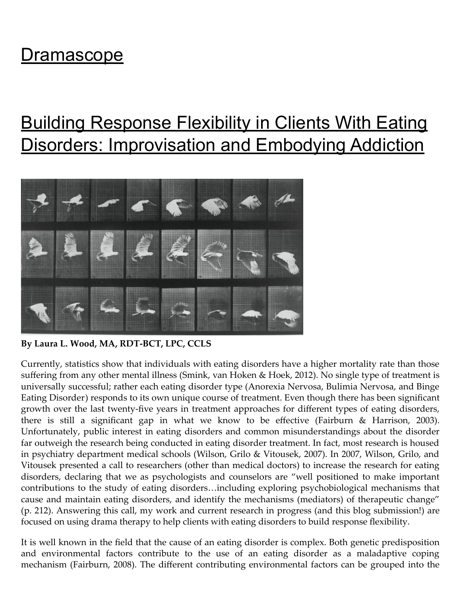## [Dramascope](https://thedramascope.wordpress.com/)

# [Building Response Flexibility in Clients With Eating](https://thedramascope.wordpress.com/2015/02/11/building-response-flexibility-in-clients-with-eating-disorders-improvisation-and-embodying-addiction/) Disorders: Improvisation and Embodying Addiction



By Laura L. Wood, MA, RDT-BCT, LPC, CCLS

Currently, statistics show that individuals with eating disorders have a higher mortality rate than those suffering from any other mental illness (Smink, van Hoken & Hoek, 2012). No single type of treatment is universally successful; rather each eating disorder type (Anorexia Nervosa, Bulimia Nervosa, and Binge Eating Disorder) responds to its own unique course of treatment. Even though there has been significant growth over the last twenty-five years in treatment approaches for different types of eating disorders, there is still a significant gap in what we know to be effective (Fairburn & Harrison, 2003). Unfortunately, public interest in eating disorders and common misunderstandings about the disorder far outweigh the research being conducted in eating disorder treatment. In fact, most research is housed in psychiatry department medical schools (Wilson, Grilo & Vitousek, 2007). In 2007, Wilson, Grilo, and Vitousek presented a call to researchers (other than medical doctors) to increase the research for eating disorders, declaring that we as psychologists and counselors are "well positioned to make important contributions to the study of eating disorders…including exploring psychobiological mechanisms that cause and maintain eating disorders, and identify the mechanisms (mediators) of therapeutic change" (p. 212). Answering this call, my work and current research in progress (and this blog submission!) are focused on using drama therapy to help clients with eating disorders to build response flexibility.

It is well known in the field that the cause of an eating disorder is complex. Both genetic predisposition and environmental factors contribute to the use of an eating disorder as a maladaptive coping mechanism (Fairburn, 2008). The different contributing environmental factors can be grouped into the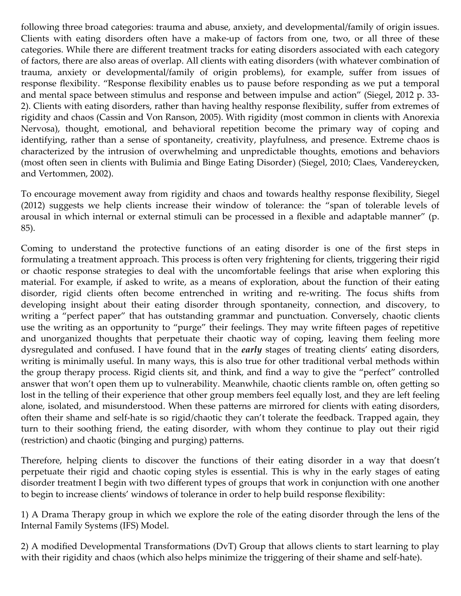following three broad categories: trauma and abuse, anxiety, and developmental/family of origin issues. Clients with eating disorders often have a make-up of factors from one, two, or all three of these categories. While there are different treatment tracks for eating disorders associated with each category of factors, there are also areas of overlap. All clients with eating disorders (with whatever combination of trauma, anxiety or developmental/family of origin problems), for example, suffer from issues of response flexibility. "Response flexibility enables us to pause before responding as we put a temporal and mental space between stimulus and response and between impulse and action" (Siegel, 2012 p. 33- 2). Clients with eating disorders, rather than having healthy response flexibility, suffer from extremes of rigidity and chaos (Cassin and Von Ranson, 2005). With rigidity (most common in clients with Anorexia Nervosa), thought, emotional, and behavioral repetition become the primary way of coping and identifying, rather than a sense of spontaneity, creativity, playfulness, and presence. Extreme chaos is characterized by the intrusion of overwhelming and unpredictable thoughts, emotions and behaviors (most often seen in clients with Bulimia and Binge Eating Disorder) (Siegel, 2010; Claes, Vandereycken, and Vertommen, 2002).

To encourage movement away from rigidity and chaos and towards healthy response flexibility, Siegel (2012) suggests we help clients increase their window of tolerance: the "span of tolerable levels of arousal in which internal or external stimuli can be processed in a flexible and adaptable manner" (p. 85).

Coming to understand the protective functions of an eating disorder is one of the first steps in formulating a treatment approach. This process is often very frightening for clients, triggering their rigid or chaotic response strategies to deal with the uncomfortable feelings that arise when exploring this material. For example, if asked to write, as a means of exploration, about the function of their eating disorder, rigid clients often become entrenched in writing and re-writing. The focus shifts from developing insight about their eating disorder through spontaneity, connection, and discovery, to writing a "perfect paper" that has outstanding grammar and punctuation. Conversely, chaotic clients use the writing as an opportunity to "purge" their feelings. They may write fifteen pages of repetitive and unorganized thoughts that perpetuate their chaotic way of coping, leaving them feeling more dysregulated and confused. I have found that in the *early* stages of treating clients' eating disorders, writing is minimally useful. In many ways, this is also true for other traditional verbal methods within the group therapy process. Rigid clients sit, and think, and find a way to give the "perfect" controlled answer that won't open them up to vulnerability. Meanwhile, chaotic clients ramble on, often getting so lost in the telling of their experience that other group members feel equally lost, and they are left feeling alone, isolated, and misunderstood. When these patterns are mirrored for clients with eating disorders, often their shame and self-hate is so rigid/chaotic they can't tolerate the feedback. Trapped again, they turn to their soothing friend, the eating disorder, with whom they continue to play out their rigid (restriction) and chaotic (binging and purging) patterns.

Therefore, helping clients to discover the functions of their eating disorder in a way that doesn't perpetuate their rigid and chaotic coping styles is essential. This is why in the early stages of eating disorder treatment I begin with two different types of groups that work in conjunction with one another to begin to increase clients' windows of tolerance in order to help build response flexibility:

1) A Drama Therapy group in which we explore the role of the eating disorder through the lens of the Internal Family Systems (IFS) Model.

2) A modified Developmental Transformations (DvT) Group that allows clients to start learning to play with their rigidity and chaos (which also helps minimize the triggering of their shame and self-hate).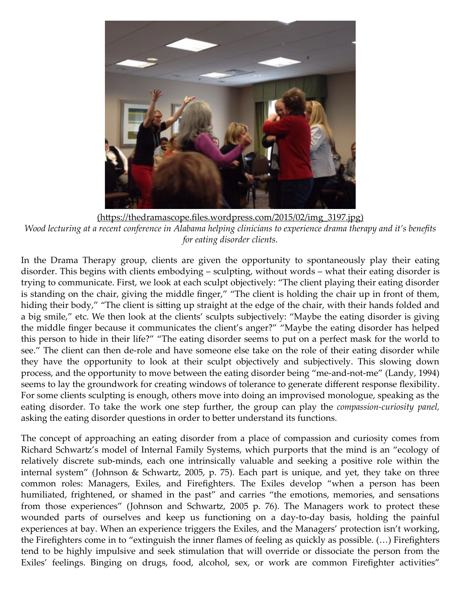

(https://thedramascope.files.wordpress.com/2015/02/img\_3197.jpg) *Wood lecturing at a recent conference in Alabama helping clinicians to experience drama therapy and it's benefits for eating disorder clients.*

In the Drama Therapy group, clients are given the opportunity to spontaneously play their eating disorder. This begins with clients embodying – sculpting, without words – what their eating disorder is trying to communicate. First, we look at each sculpt objectively: "The client playing their eating disorder is standing on the chair, giving the middle finger," "The client is holding the chair up in front of them, hiding their body," "The client is sitting up straight at the edge of the chair, with their hands folded and a big smile," etc. We then look at the clients' sculpts subjectively: "Maybe the eating disorder is giving the middle finger because it communicates the client's anger?" "Maybe the eating disorder has helped this person to hide in their life?" "The eating disorder seems to put on a perfect mask for the world to see." The client can then de-role and have someone else take on the role of their eating disorder while they have the opportunity to look at their sculpt objectively and subjectively. This slowing down process, and the opportunity to move between the eating disorder being "me-and-not-me" (Landy, 1994) seems to lay the groundwork for creating windows of tolerance to generate different response flexibility. For some clients sculpting is enough, others move into doing an improvised monologue, speaking as the eating disorder. To take the work one step further, the group can play the *compassion-curiosity panel,* asking the eating disorder questions in order to better understand its functions.

The concept of approaching an eating disorder from a place of compassion and curiosity comes from Richard Schwartz's model of Internal Family Systems, which purports that the mind is an "ecology of relatively discrete sub-minds, each one intrinsically valuable and seeking a positive role within the internal system" (Johnson & Schwartz, 2005, p. 75). Each part is unique, and yet, they take on three common roles: Managers, Exiles, and Firefighters. The Exiles develop "when a person has been humiliated, frightened, or shamed in the past" and carries "the emotions, memories, and sensations from those experiences" (Johnson and Schwartz, 2005 p. 76). The Managers work to protect these wounded parts of ourselves and keep us functioning on a day-to-day basis, holding the painful experiences at bay. When an experience triggers the Exiles, and the Managers' protection isn't working, the Firefighters come in to "extinguish the inner flames of feeling as quickly as possible. (…) Firefighters tend to be highly impulsive and seek stimulation that will override or dissociate the person from the Exiles' feelings. Binging on drugs, food, alcohol, sex, or work are common Firefighter activities"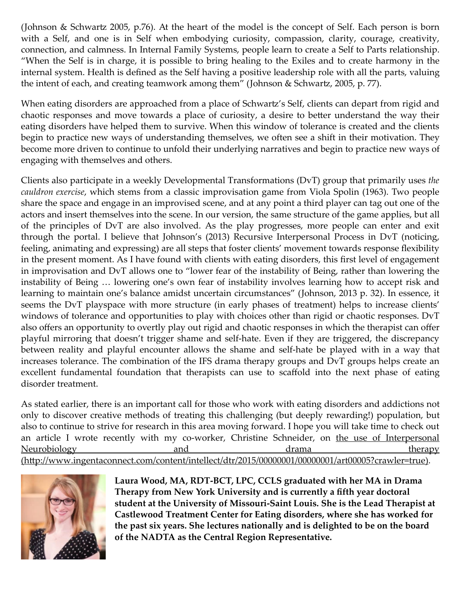(Johnson & Schwartz 2005, p.76). At the heart of the model is the concept of Self. Each person is born with a Self, and one is in Self when embodying curiosity, compassion, clarity, courage, creativity, connection, and calmness. In Internal Family Systems, people learn to create a Self to Parts relationship. "When the Self is in charge, it is possible to bring healing to the Exiles and to create harmony in the internal system. Health is defined as the Self having a positive leadership role with all the parts, valuing the intent of each, and creating teamwork among them" (Johnson & Schwartz, 2005, p. 77).

When eating disorders are approached from a place of Schwartz's Self, clients can depart from rigid and chaotic responses and move towards a place of curiosity, a desire to better understand the way their eating disorders have helped them to survive. When this window of tolerance is created and the clients begin to practice new ways of understanding themselves, we often see a shift in their motivation. They become more driven to continue to unfold their underlying narratives and begin to practice new ways of engaging with themselves and others.

Clients also participate in a weekly Developmental Transformations (DvT) group that primarily uses *the cauldron exercise*, which stems from a classic improvisation game from Viola Spolin (1963). Two people share the space and engage in an improvised scene, and at any point a third player can tag out one of the actors and insert themselves into the scene. In our version, the same structure of the game applies, but all of the principles of DvT are also involved. As the play progresses, more people can enter and exit through the portal. I believe that Johnson's (2013) Recursive Interpersonal Process in DvT (noticing, feeling, animating and expressing) are all steps that foster clients' movement towards response flexibility in the present moment. As I have found with clients with eating disorders, this first level of engagement in improvisation and DvT allows one to "lower fear of the instability of Being, rather than lowering the instability of Being … lowering one's own fear of instability involves learning how to accept risk and learning to maintain one's balance amidst uncertain circumstances" (Johnson, 2013 p. 32). In essence, it seems the DvT playspace with more structure (in early phases of treatment) helps to increase clients' windows of tolerance and opportunities to play with choices other than rigid or chaotic responses. DvT also offers an opportunity to overtly play out rigid and chaotic responses in which the therapist can offer playful mirroring that doesn't trigger shame and self-hate. Even if they are triggered, the discrepancy between reality and playful encounter allows the shame and self-hate be played with in a way that increases tolerance. The combination of the IFS drama therapy groups and DvT groups helps create an excellent fundamental foundation that therapists can use to scaffold into the next phase of eating disorder treatment.

As stated earlier, there is an important call for those who work with eating disorders and addictions not only to discover creative methods of treating this challenging (but deeply rewarding!) population, but also to continue to strive for research in this area moving forward. I hope you will take time to check out [an article I wrote recently with my co-worker, Christine Schneider, on the use of Interpersonal](http://www.ingentaconnect.com/content/intellect/dtr/2015/00000001/00000001/art00005?crawler=true) Neurobiology and and drama therapy (http://www.ingentaconnect.com/content/intellect/dtr/2015/00000001/00000001/art00005?crawler=true).



Laura Wood, MA, RDT-BCT, LPC, CCLS graduated with her MA in Drama Therapy from New York University and is currently a fifth year doctoral student at the University of Missouri-Saint Louis. She is the Lead Therapist at Castlewood Treatment Center for Eating disorders, where she has worked for the past six years. She lectures nationally and is delighted to be on the board of the NADTA as the Central Region Representative.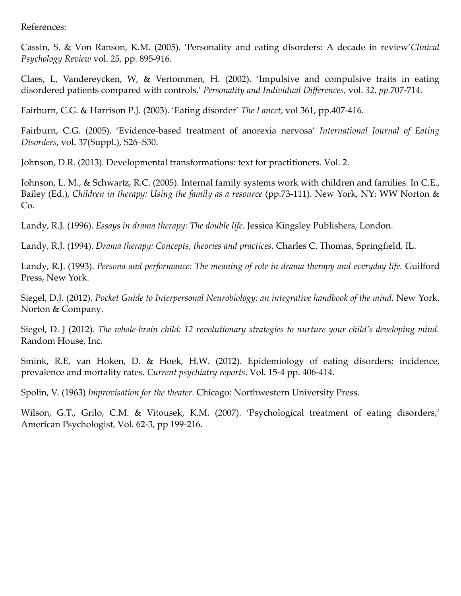References:

Cassin, S. & Von Ranson, K.M. (2005). 'Personality and eating disorders: A decade in review'*Clinical Psychology Review* vol. 25, pp. 895-916.

Claes, L, Vandereycken, W, & Vertommen, H. (2002). 'Impulsive and compulsive traits in eating disordered patients compared with controls,' *Personality and Individual Differences,* vol. *32, pp.*707-714.

Fairburn, C.G. & Harrison P.J. (2003). 'Eating disorder' *The Lancet*, vol 361, pp.407-416.

Fairburn, C.G. (2005). 'Evidence-based treatment of anorexia nervosa' *International Journal of Eating Disorders*, vol. 37(Suppl.), S26–S30.

Johnson, D.R. (2013). Developmental transformations: text for practitioners. Vol. 2.

Johnson, L. M., & Schwartz, R.C. (2005). Internal family systems work with children and families. In C.E., Bailey (Ed.), *Children in therapy: Using the family as a resource* (pp.73-111). New York, NY: WW Norton & Co.

Landy, R.J. (1996). *Essays in drama therapy: The double life*. Jessica Kingsley Publishers, London.

Landy, R.J. (1994). *Drama therapy: Concepts, theories and practices.* Charles C. Thomas, Springfield, IL.

Landy, R.J. (1993). *Persona and performance: The meaning of role in drama therapy and everyday life.* Guilford Press, New York.

Siegel, D.J. (2012). Pocket Guide to Interpersonal Neurobiology: an integrative handbook of the mind. New York. Norton & Company.

Siegel, D. J (2012). *The whole-brain child: 12 revolutionary strategies to nurture your child's developing mind.* Random House, Inc*.*

Smink, R.E, van Hoken, D. & Hoek, H.W. (2012). Epidemiology of eating disorders: incidence, prevalence and mortality rates. *Current psychiatry reports*. Vol. 15-4 pp. 406-414.

Spolin, V. (1963) *Improvisation for the theater.* Chicago: Northwestern University Press.

Wilson, G.T., Grilo, C.M. & Vitousek, K.M. (2007). 'Psychological treatment of eating disorders,' American Psychologist, Vol. 62-3, pp 199-216.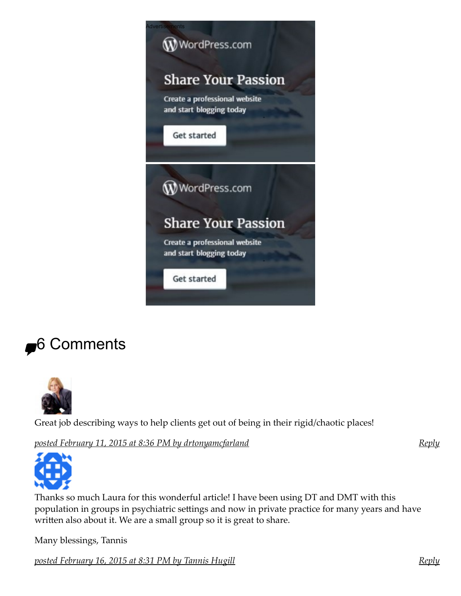

# **<del>₽</del>**6 Comments

<span id="page-6-0"></span>

Great job describing ways to help clients get out of being in their rigid/chaotic places!

*[posted February 11, 2015 at 8:36 PM by](#page-6-0) [drtonyamcfarland](http://drtonyamcfarland.wordpress.com/)*

*[Reply](https://thedramascope.wordpress.com/2015/02/11/building-response-flexibility-in-clients-with-eating-disorders-improvisation-and-embodying-addiction/?replytocom=23#respond)*

<span id="page-6-1"></span>

Thanks so much Laura for this wonderful article! I have been using DT and DMT with this population in groups in psychiatric settings and now in private practice for many years and have written also about it. We are a small group so it is great to share.

Many blessings, Tannis

*[posted February 16, 2015 at 8:31 PM by](#page-6-1) [Tannis Hugill](http://www.awakeningbodywisdom.com/)*